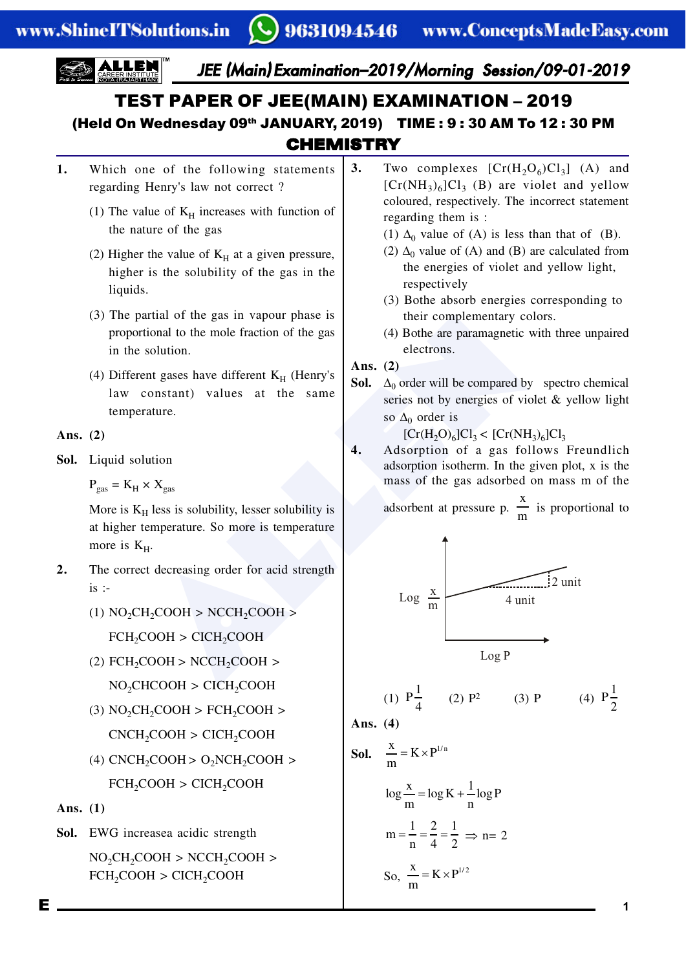

**CHEMISTRY** 

- 1. Which one of the following statements regarding Henry's law not correct ?
	- (1) The value of  $K_H$  increases with function of the nature of the gas
	- (2) Higher the value of  $K_H$  at a given pressure, higher is the solubility of the gas in the liquids.
	- (3) The partial of the gas in vapour phase is proportional to the mole fraction of the gas in the solution.
	- (4) Different gases have different  $K_H$  (Henry's law constant) values at the same temperature.

Ans. (2)

**Sol.** Liquid solution

 $P_{\text{gas}} = K_H \times X_{\text{gas}}$ 

More is  $K_H$  less is solubility, lesser solubility is at higher temperature. So more is temperature more is  $K_H$ .

- **2.** The correct decreasing order for acid strength  $is$  :-
	- $(1) NO<sub>2</sub>CH<sub>2</sub>COOH > NCCH<sub>2</sub>COOH >$ FCH<sub>2</sub>COOH > CICH<sub>2</sub>COOH
	- $(2)$  FCH<sub>2</sub>COOH > NCCH<sub>2</sub>COOH >

 $NO<sub>2</sub>CHCOOH > CICH<sub>2</sub>COOH$ 

- (3)  $NO<sub>2</sub>CH<sub>2</sub>COOH > FCH<sub>2</sub>COOH >$  $CNCH_2COOH > CICH_2COOH$
- (4) CNCH<sub>2</sub>COOH >  $O_2NCH_2COOH$  > FCH<sub>2</sub>COOH > CICH<sub>2</sub>COOH

Ans. (1)

**Sol.** EWG increasea acidic strength

 $NO<sub>2</sub>CH<sub>2</sub>COOH > NCCH<sub>2</sub>COOH >$  $FCH_2COOH > CICH_2COOH$ 

- **3.** Two complexes  $[Cr(H<sub>2</sub>O<sub>6</sub>)Cl<sub>3</sub>]$  (A) and  $[Cr(NH<sub>3</sub>)<sub>6</sub>]Cl<sub>3</sub>$  (B) are violet and yellow coloured, respectively. The incorrect statement regarding them is :
	- (1)  $\Delta_0$  value of (A) is less than that of (B).
	- (2)  $\Delta_0$  value of (A) and (B) are calculated from the energies of violet and yellow light, respectively
	- (3) Bothe absorb energies corresponding to their complementary colors.
	- (4) Bothe are paramagnetic with three unpaired electrons.

**Ans.** (2)

**Sol.**  $\Delta_0$  order will be compared by spectro chemical series not by energies of violet & yellow light so  $\Delta_0$  order is

 $[Cr(H<sub>2</sub>O)<sub>6</sub>]Cl<sub>3</sub> < [Cr(NH<sub>3</sub>)<sub>6</sub>]Cl<sub>3</sub>$ 

4. Adsorption of a gas follows Freundlich adsorption isotherm. In the given plot, x is the mass of the gas adsorbed on mass m of the

> adsorbent at pressure p. x  $\frac{\pi}{m}$  is proportional to



(1) 
$$
P\frac{1}{4}
$$
 (2)  $P^2$  (3) P (4)  $P\frac{1}{2}$ 

Ans. (4)

**S** 

$$
\frac{x}{m} = K \times P^{1/n}
$$
  
\n
$$
\log \frac{x}{m} = \log K + \frac{1}{n} \log P
$$
  
\n
$$
m = \frac{1}{n} = \frac{2}{4} = \frac{1}{2} \implies n = 2
$$
  
\nSo,  $\frac{x}{m} = K \times P^{1/2}$ 

E **1**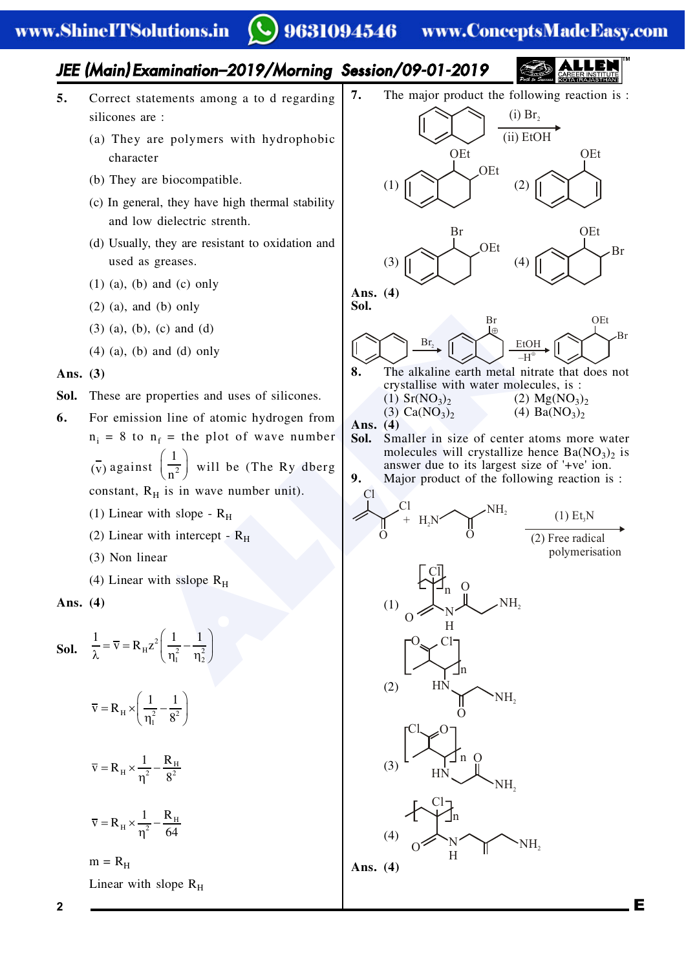#### 9631094546 www.ConceptsMadeEasy.com

## JEE (Main) Examination–2019/Morning Session/09-01-2019

- **5.** Correct statements among a to d regarding silicones are :
	- (a) They are polymers with hydrophobic character
	- (b) They are biocompatible.
	- (c) In general, they have high thermal stability and low dielectric strenth.
	- (d) Usually, they are resistant to oxidation and used as greases.
	- (1) (a), (b) and (c) only
	- (2) (a), and (b) only
	- (3) (a), (b), (c) and (d)
	- (4) (a), (b) and (d) only

### Ans. (3)

- Sol. These are properties and uses of silicones.
- **6.** For emission line of atomic hydrogen from  $n_i = 8$  to  $n_f$  = the plot of wave number  $\overline{v}$ ) against  $\frac{1}{n^2}$ 1  $\left(\frac{1}{n^2}\right)$  will be (The Ry dberg constant,  $R_H$  is in wave number unit).
	- (1) Linear with slope  $R_H$
	- (2) Linear with intercept  $R<sub>H</sub>$
	- (3) Non linear
	- (4) Linear with sslope  $R_H$

Ans. (4)

**Sol.** 
$$
\frac{1}{\lambda} = \overline{v} = R_{H} z^{2} \left( \frac{1}{\eta_{1}^{2}} - \frac{1}{\eta_{2}^{2}} \right)
$$

$$
\overline{\mathbf{v}} = \mathbf{R}_{\mathrm{H}} \times \left( \frac{1}{\eta_{\mathrm{I}}^2} - \frac{1}{8^2} \right)
$$

$$
\overline{\mathbf{v}} = \mathbf{R}_{\mathrm{H}} \times \frac{1}{\eta^2} - \frac{\mathbf{R}_{\mathrm{H}}}{8^2}
$$

$$
\overline{v} = R_{_H} \times \frac{1}{\eta^2} - \frac{R_{_H}}{64}
$$

 $m = R<sub>H</sub>$ 

Linear with slope  $R_H$ 

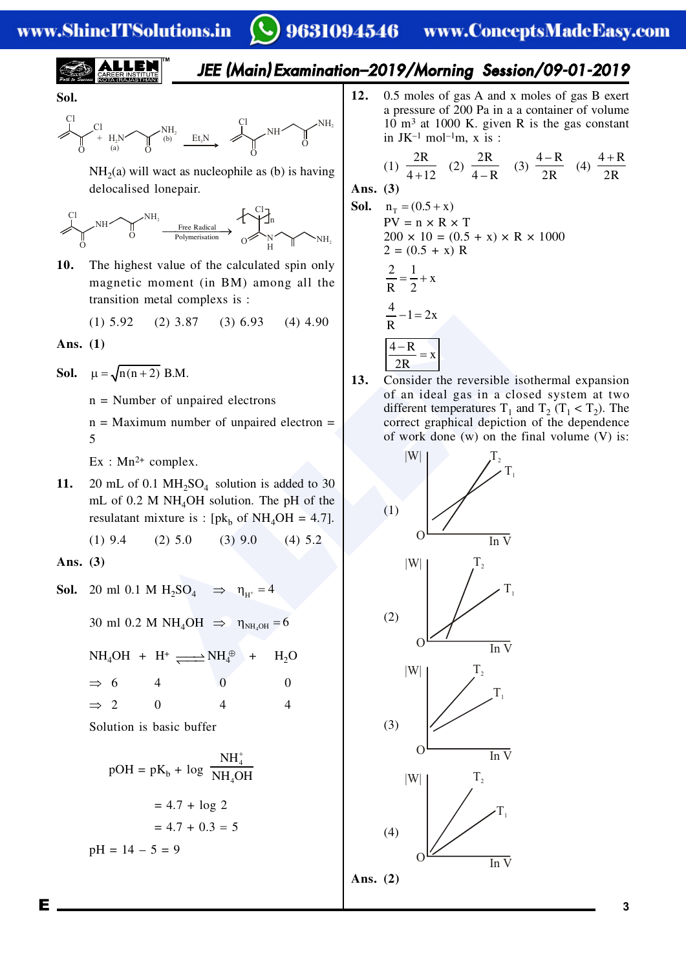## www.ShineITSolutions.in

# 9631094546 www.ConceptsMadeEasy.com

JEE (Main) Examination–2019/Morning Session/09-01-2019



Sol.

$$
\underbrace{C1}_{\begin{array}{c} \begin{matrix} \\ \end{matrix}} & \begin{matrix} \\ \end{array} & \begin{matrix} \\ \end{matrix} \\ \begin{matrix} \\ \end{matrix} \\ \end{array} \\ \begin{array}{c} \begin{matrix} \\ \end{matrix} \\ \end{array} \\ \begin{array}{cccc} \end{array} \\ \begin{array}{cccc} \end{array} \\ \begin{array}{cccc} \end{array} \\ \begin{array}{cccc} \end{array} \\ \begin{array}{cccc} \end{array} \\ \begin{array}{cccc} \end{array} \\ \begin{array}{cccc} \end{array} \\ \begin{array}{cccc} \end{array} \\ \begin{array}{cccc} \end{array} \\ \begin{array}{cccc} \end{array} \\ \begin{array}{cccc} \end{array} \\ \begin{array}{cccc} \end{array} \\ \begin{array}{cccc} \end{array} \\ \begin{array}{cccc} \end{array} \\ \begin{array}{cccc} \end{array} \\ \begin{array}{cccc} \end{array} \\ \begin{array}{cccc} \end{array} \\ \begin{array}{cccc} \end{array} \\ \begin{array}{cccc} \end{array} \\ \begin{array}{cccc} \end{array} \\ \begin{array}{cccc} \end{array} \\ \begin{array}{cccc} \end{array} \\ \begin{array}{cccc} \end{array} \\ \begin{array}{cccc} \end{array} \\ \begin{array}{cccc} \end{array} \\ \begin{array}{cccc} \end{array} \\ \begin{array}{cccc} \end{array} \\ \begin{array}{cccc} \end{array} \\ \begin{array}{cccc} \end{array} \\ \begin{array}{cccc} \end{array} \\ \begin{array}{cccc} \end{array} \\ \begin{array}{cccc} \end{array} \\ \begin{array}{cccc} \end{array} \\ \begin{array}{cccc} \end{array} \\ \begin{array}{cccc} \end{array} \\ \begin{array}{cccc} \end{array} \\ \begin{array}{cccc} \end{array} \\ \begin{array}{cccc} \end{array} \\ \begin{array}{cccc} \end{array} \\ \begin{array}{cccc} \end{array} \\ \begin{array}{cccc} \end{array} \\ \begin{array}{cccc} \end{array} \\ \begin{array}{cccc} \end{array} \\ \begin{array}{cccc} \end{array} \\ \begin{array}{cccc} \end{array} \\ \begin{array}{cccc} \end{array} \\ \begin{array}{cccc} \end{array} \\ \begin{array}{cccc} \end{array} \\ \begin{array}{cccc} \end{array} \\ \begin{array}{cccc} \end{array} \\ \begin{array}{cccc} \end{array} \\ \begin{array
$$

 $NH<sub>2</sub>(a)$  will wact as nucleophile as (b) is having delocalised lonepair.



10. The highest value of the calculated spin only magnetic moment (in BM) among all the transition metal complexs is :

$$
(1) 5.92 \t(2) 3.87 \t(3) 6.93 \t(4) 4.90
$$

Ans. (1)

**Sol.**  $\mu = \sqrt{n(n+2)}$  B.M.

n = Number of unpaired electrons

 $n =$  Maximum number of unpaired electron  $=$ 5

 $Ex: Mn^{2+} complex.$ 

**11.** 20 mL of 0.1  $MH<sub>2</sub>SO<sub>4</sub>$  solution is added to 30 mL of  $0.2$  M NH<sub>4</sub>OH solution. The pH of the resulatant mixture is :  $[pk_b \text{ of } NH_4OH = 4.7]$ .

(1) 9.4 (2) 5.0 (3) 9.0 (4) 5.2

**Ans.** (3)

**Sol.** 20 ml 0.1 M  $H_2SO_4 \implies \eta_{H^+} = 4$ 

30 ml 0.2 M NH<sub>4</sub>OH  $\Rightarrow \eta_{NH_4OH} = 6$ 

$$
NH4OH + H+ \xrightarrow{\longrightarrow} NH4\oplus + H2O
$$
  
\n
$$
\Rightarrow 6 \qquad 4 \qquad 0 \qquad 0
$$
  
\n
$$
\Rightarrow 2 \qquad 0 \qquad 4 \qquad 4
$$

Solution is basic buffer

$$
pOH = pK_b + log \frac{NH_4^+}{NH_4OH}
$$
  
= 4.7 + log 2  
= 4.7 + 0.3 = 5  

$$
pH = 14 - 5 = 9
$$

12. 0.5 moles of gas A and x moles of gas B exert a pressure of 200 Pa in a a container of volume  $10 \text{ m}^3$  at 1000 K. given R is the gas constant in JK $^{-1}$  mol $^{-1}$ m, x is :

(1) 
$$
\frac{2R}{4+12}
$$
 (2)  $\frac{2R}{4-R}$  (3)  $\frac{4-R}{2R}$  (4)  $\frac{4+R}{2R}$ 

Ans. (3)

**Sol.** 
$$
n_T = (0.5 + x)
$$
  
\n $PV = n \times R \times T$   
\n $200 \times 10 = (0.5 + x) \times R \times 1000$   
\n $2 = (0.5 + x) R$   
\n $\frac{2}{R} = \frac{1}{2} + x$   
\n $\frac{4}{R} - 1 = 2x$   
\n $\frac{4 - R}{2R} = x$ 

**13.** Consider the reversible isothermal expansion of an ideal gas in a closed system at two different temperatures  $T_1$  and  $T_2$  ( $T_1 < T_2$ ). The correct graphical depiction of the dependence of work done (w) on the final volume (V) is:

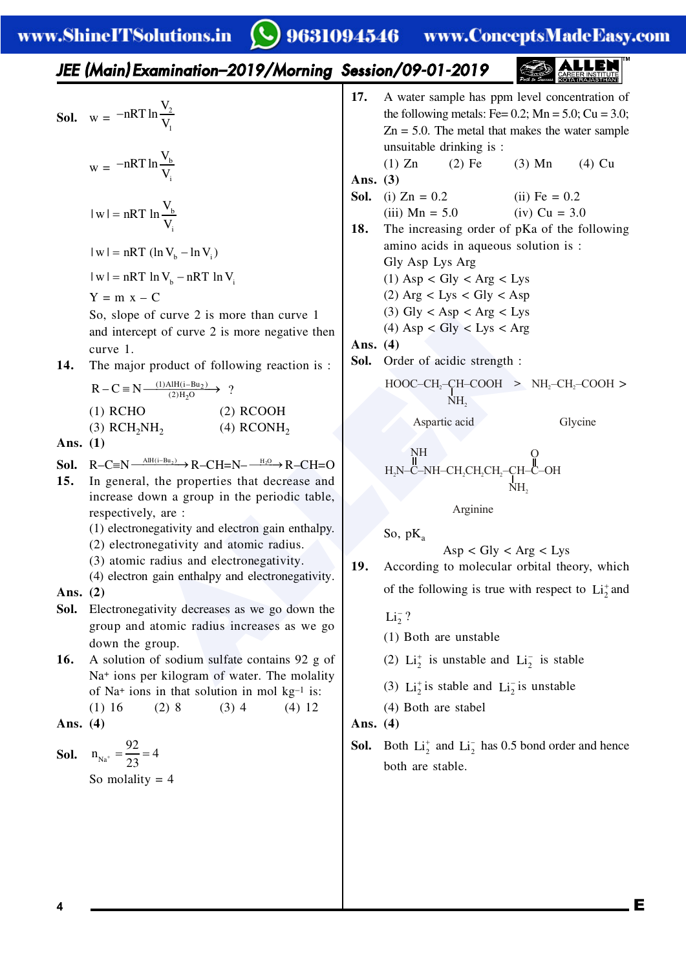$\mathbf C$ 

9631094546 www.ConceptsMadeEasy.com

 $\frac{1}{1 + \frac{1}{1 + \frac{1}{1 + \frac{1}{1 + \frac{1}{1 + \frac{1}{1 + \frac{1}{1 + \frac{1}{1 + \frac{1}{1 + \frac{1}{1 + \frac{1}{1 + \frac{1}{1 + \frac{1}{1 + \frac{1}{1 + \frac{1}{1 + \frac{1}{1 + \frac{1}{1 + \frac{1}{1 + \frac{1}{1 + \frac{1}{1 + \frac{1}{1 + \frac{1}{1 + \frac{1}{1 + \frac{1}{1 + \frac{1}{1 + \frac{1}{1 + \frac{1}{1 + \frac{1}{1 + \frac{1}{1 + \frac{1}{1 + \frac{1}{1 + \frac{$ 

| IEEE (Main) Examination-2019/Morming Session/09-01-2019                                                                                                                                                                                                                                                                                                                                                                                                                                                                                                                                                                                                                                                                                                                                                                                                                                                                                                                                                                                                                                                                                                                                                                                                         |
|-----------------------------------------------------------------------------------------------------------------------------------------------------------------------------------------------------------------------------------------------------------------------------------------------------------------------------------------------------------------------------------------------------------------------------------------------------------------------------------------------------------------------------------------------------------------------------------------------------------------------------------------------------------------------------------------------------------------------------------------------------------------------------------------------------------------------------------------------------------------------------------------------------------------------------------------------------------------------------------------------------------------------------------------------------------------------------------------------------------------------------------------------------------------------------------------------------------------------------------------------------------------|
| \n        Sol. $w = -nRT \ln \frac{V_x}{V_x}$<br>\n $w = -nRT \ln \frac{V_x}{V_x}$<br>\n $w = -nRT \ln \frac{V_x}{V_x}$<br>\n $w = -nRT \ln \frac{V_x}{V_x}$<br>\n $w = -nRT \ln \frac{V_x}{V_x}$<br>\n $w = -nRT \ln \frac{V_x}{V_x}$<br>\n $w = -nRT \ln V_x$<br>\n $w = nRT \ln V_y - nRT \ln V_y$<br>\n $w = nRT \ln V_y - nRT \ln V_y$<br>\n $V = nRT \ln V_y - nRT \ln V_y$<br>\n $V = nRT \ln V_y - nRT \ln V_y$<br>\n $V = nRT \ln V_y - nRT \ln V_y$<br>\n $V = nRT \ln V_y - nRT \ln V_y$<br>\n $V = nRT \ln V_y - nRT \ln V_y$<br>\n $V = nRT \ln V_y - nRT \ln V_y$<br>\n $V = nRT \ln V_y - nRT \ln V_y$<br>\n $V = nRT \ln V_y - nRT \ln V_y$<br>\n $V = nRT \ln V_y - nRT \ln V_y$<br>\n $V = nRT \ln V_y - nRT \ln V_y$<br>\n $V = n \ln \frac{1}{n} \ln \frac{1}{n} \ln \frac{1}{n} \ln \frac{1}{n} \ln \frac{1}{n} \ln \frac{1}{n} \ln \frac{1}{n} \ln \frac{1}{n} \ln \frac{1}{n} \ln \frac{1}{n} \ln \frac{1}{n} \ln \frac{1}{n} \ln \frac{1}{n} \ln \frac{1}{n} \ln \frac{1}{n} \ln \frac{1}{n} \ln \frac{1}{n} \ln \frac{1}{n} \ln \frac{1}{n} \ln \frac{1}{n} \ln \frac{1}{n} \ln \frac{1}{n} \ln \frac{1}{n} \ln \frac{1}{n} \ln \frac{1}{n} \ln \frac{1}{n} \ln \frac{1}{n} \ln \frac{1}{n} \ln \frac{1}{n} \ln \frac{1}{n} \ln \frac$ |

**4** E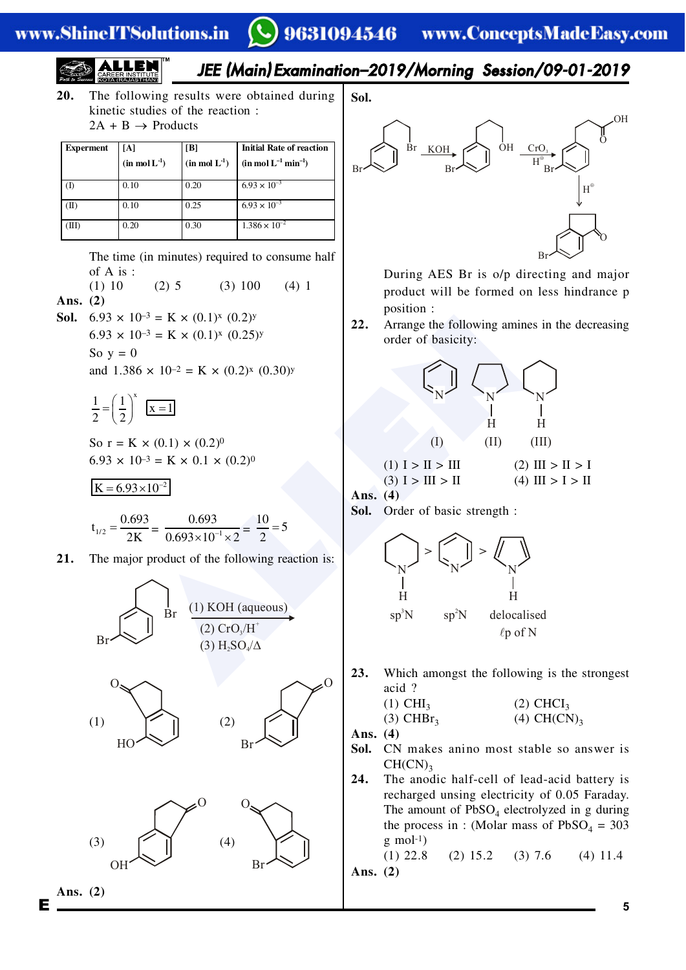#### 9631094546 www.ConceptsMadeEasy.com

JEE (Main) Examination–2019/Morning Session/09-01-2019 **/-+** The following results were obtained during kinetic studies of the reaction : 2A + B ® Products **Bxpbrmbnt X>Z %fnmoiI\*.& X?Z %fnmoiI\*.& Fnftf^iO^tbocrb^`tfon %fnmoiI.mfn.& Poi+** Br

|                 | $(in \text{ mol } L^{-1})$ | $\sin \text{mol}$ $\text{L}^{\text{-}}$ ) | $\sin \text{mol} L^{-1} \text{min}^{-1}$ |
|-----------------|----------------------------|-------------------------------------------|------------------------------------------|
|                 | 0.10                       | 0.20                                      | $6.93 \times 10^{-3}$                    |
| $(\mathbf{II})$ | 0.10                       | 0.25                                      | $6.93 \times 10^{-3}$                    |
| (III)           | 0.20                       | 0.30                                      | $1.386 \times 10^{-2}$                   |

The time (in minutes) required to consume half of A is :

(1) 10 (2) 5 (3) 100 (4) 1 Ans. (2)

**Sol.** 6.93  $\times$  10<sup>-3</sup> = **K**  $\times$  (0.1)<sup>x</sup> (0.2)<sup>y</sup>

 $6.93 \times 10^{-3} = K \times (0.1)^{x} (0.25)^{y}$ 

So  $y = 0$ 

and  $1.386 \times 10^{-2} = K \times (0.2)^{x} (0.30)^{y}$ 

 $\frac{1}{2} = \left(\frac{1}{2}\right)^{x}$   $\boxed{x=1}$ 2  $\langle 2 \rangle$  $=\left(\frac{1}{2}\right)^{x}$   $\boxed{x=1}$ 

So  $r = K \times (0.1) \times (0.2)^0$  $6.93 \times 10^{-3} = K \times 0.1 \times (0.2)^{0}$ 

$$
K = 6.93 \times 10^{-2}
$$

$$
t_{1/2} = \frac{0.693}{2K} = \frac{0.693}{0.693 \times 10^{-1} \times 2} = \frac{10}{2} = 5
$$

**21.** The major product of the following reaction is:



Ans. (2)



During AES Br is o/p directing and major product will be formed on less hindrance p position :

22. Arrange the following amines in the decreasing order of basicity:



**Ans.** (4)

**Sol.** Order of basic strength :



23. Which amongst the following is the strongest acid ?

(1) CHI<sup>3</sup> (2) CHCI<sup>3</sup> (3) CHBr<sup>3</sup> (4) CH(CN)<sup>3</sup>

**Ans.** (4)

- Sol. CN makes anino most stable so answer is  $CH(CN)$ <sub>3</sub>
- 24. The anodic half-cell of lead-acid battery is recharged unsing electricity of 0.05 Faraday. The amount of  $PbSO_4$  electrolyzed in g during the process in : (Molar mass of  $PbSO_4 = 303$  $g$  mol<sup>-1</sup>)

(1) 22.8 (2) 15.2 (3) 7.6 (4) 11.4 Ans. (2)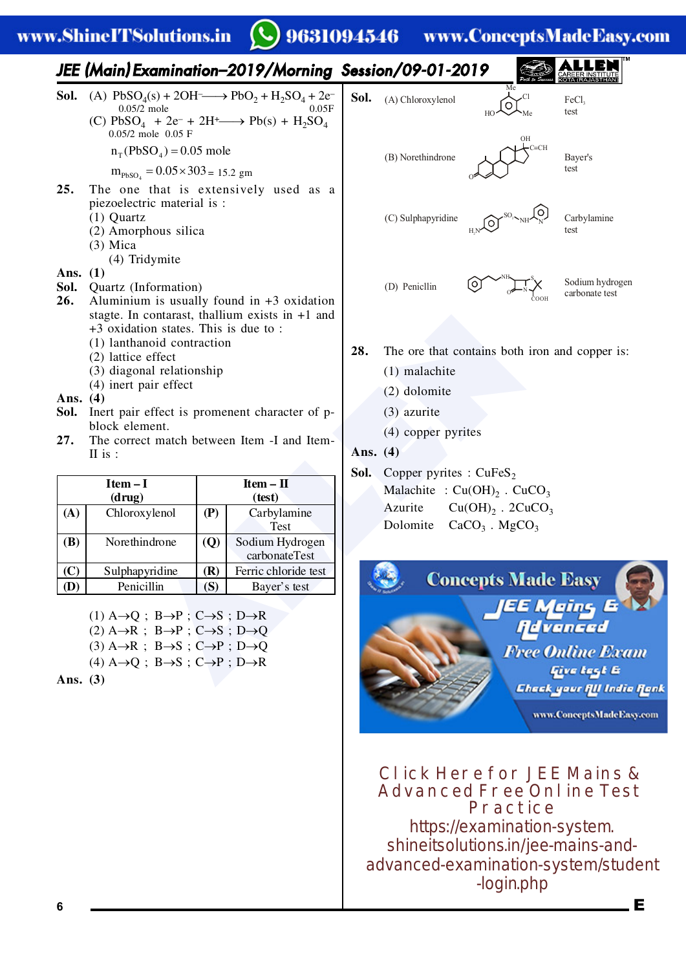## www.ShineITSolutions.in

9631094546 www.ConceptsMadeEasy.com



 $(1)$  A $\rightarrow$ Q; B $\rightarrow$ P; C $\rightarrow$ S; D $\rightarrow$ R  $(2)$  A $\rightarrow$ R ; B $\rightarrow$ P ; C $\rightarrow$ S ; D $\rightarrow$ Q  $(3)$  A $\rightarrow$ R ; B $\rightarrow$ S ; C $\rightarrow$ P ; D $\rightarrow$ Q

**(D)** Penicillin **(S)** Bayer's test

 $(4)$  A $\rightarrow$ Q; B $\rightarrow$ S; C $\rightarrow$ P; D $\rightarrow$ R

Ans. (3)



**Click Here for JEE Mains & Advanced Free Online Test Practice** https://examination-system. shineitsolutions.in/jee-mains-andadvanced-examination-system/student -login.php